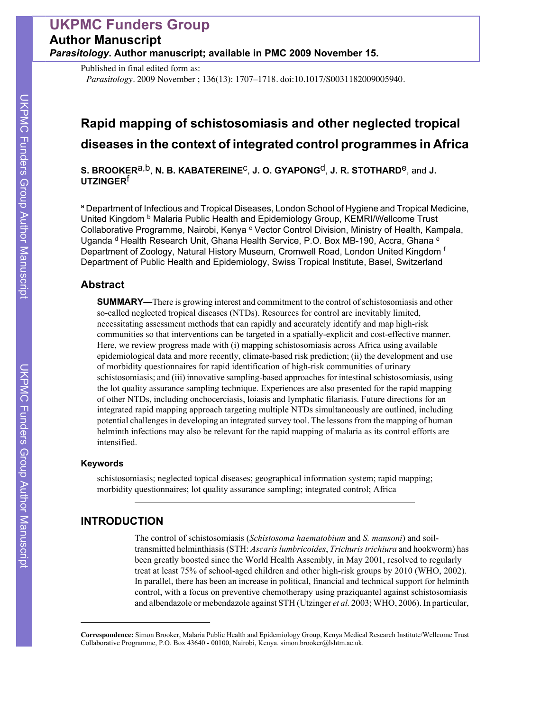# **UKPMC Funders Group Author Manuscript** *Parasitology***. Author manuscript; available in PMC 2009 November 15.**

Published in final edited form as:

*Parasitology*. 2009 November ; 136(13): 1707–1718. doi:10.1017/S0031182009005940.

# **Rapid mapping of schistosomiasis and other neglected tropical diseases in the context of integrated control programmes in Africa**

**S. BROOKER**a,b, **N. B. KABATEREINE**c, **J. O. GYAPONG**d, **J. R. STOTHARD**e, and **J. UTZINGER**f

a Department of Infectious and Tropical Diseases, London School of Hygiene and Tropical Medicine, United Kingdom <sup>b</sup> Malaria Public Health and Epidemiology Group, KEMRI/Wellcome Trust Collaborative Programme, Nairobi, Kenya <sup>c</sup> Vector Control Division, Ministry of Health, Kampala, Uganda  $d$  Health Research Unit, Ghana Health Service, P.O. Box MB-190, Accra, Ghana  $e$ Department of Zoology, Natural History Museum, Cromwell Road, London United Kingdom f Department of Public Health and Epidemiology, Swiss Tropical Institute, Basel, Switzerland

# **Abstract**

**SUMMARY—**There is growing interest and commitment to the control of schistosomiasis and other so-called neglected tropical diseases (NTDs). Resources for control are inevitably limited, necessitating assessment methods that can rapidly and accurately identify and map high-risk communities so that interventions can be targeted in a spatially-explicit and cost-effective manner. Here, we review progress made with (i) mapping schistosomiasis across Africa using available epidemiological data and more recently, climate-based risk prediction; (ii) the development and use of morbidity questionnaires for rapid identification of high-risk communities of urinary schistosomiasis; and (iii) innovative sampling-based approaches for intestinal schistosomiasis, using the lot quality assurance sampling technique. Experiences are also presented for the rapid mapping of other NTDs, including onchocerciasis, loiasis and lymphatic filariasis. Future directions for an integrated rapid mapping approach targeting multiple NTDs simultaneously are outlined, including potential challenges in developing an integrated survey tool. The lessons from the mapping of human helminth infections may also be relevant for the rapid mapping of malaria as its control efforts are intensified.

### **Keywords**

schistosomiasis; neglected topical diseases; geographical information system; rapid mapping; morbidity questionnaires; lot quality assurance sampling; integrated control; Africa

# **INTRODUCTION**

The control of schistosomiasis (*Schistosoma haematobium* and *S. mansoni*) and soiltransmitted helminthiasis (STH: *Ascaris lumbricoides*, *Trichuris trichiura* and hookworm) has been greatly boosted since the World Health Assembly, in May 2001, resolved to regularly treat at least 75% of school-aged children and other high-risk groups by 2010 (WHO, 2002). In parallel, there has been an increase in political, financial and technical support for helminth control, with a focus on preventive chemotherapy using praziquantel against schistosomiasis and albendazole or mebendazole against STH (Utzinger *et al.* 2003; WHO, 2006). In particular,

**Correspondence:** Simon Brooker, Malaria Public Health and Epidemiology Group, Kenya Medical Research Institute/Wellcome Trust Collaborative Programme, P.O. Box 43640 - 00100, Nairobi, Kenya. simon.brooker@lshtm.ac.uk.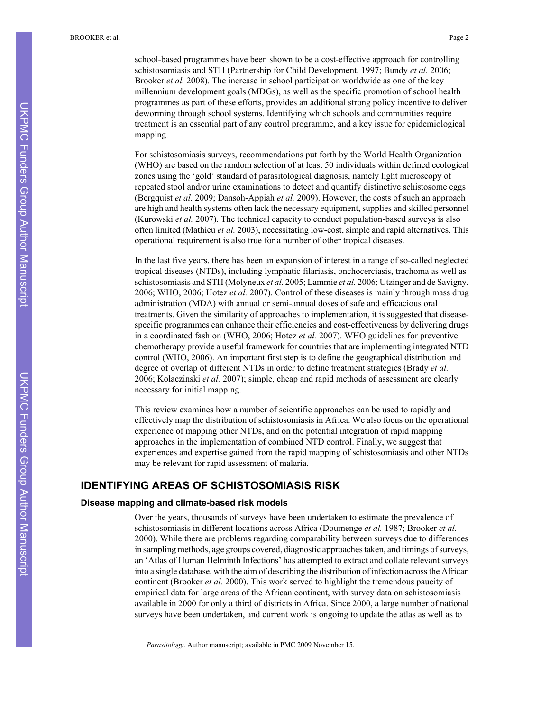school-based programmes have been shown to be a cost-effective approach for controlling schistosomiasis and STH (Partnership for Child Development, 1997; Bundy *et al.* 2006; Brooker *et al.* 2008). The increase in school participation worldwide as one of the key millennium development goals (MDGs), as well as the specific promotion of school health programmes as part of these efforts, provides an additional strong policy incentive to deliver deworming through school systems. Identifying which schools and communities require treatment is an essential part of any control programme, and a key issue for epidemiological mapping.

For schistosomiasis surveys, recommendations put forth by the World Health Organization (WHO) are based on the random selection of at least 50 individuals within defined ecological zones using the 'gold' standard of parasitological diagnosis, namely light microscopy of repeated stool and/or urine examinations to detect and quantify distinctive schistosome eggs (Bergquist *et al.* 2009; Dansoh-Appiah *et al.* 2009). However, the costs of such an approach are high and health systems often lack the necessary equipment, supplies and skilled personnel (Kurowski *et al.* 2007). The technical capacity to conduct population-based surveys is also often limited (Mathieu *et al.* 2003), necessitating low-cost, simple and rapid alternatives. This operational requirement is also true for a number of other tropical diseases.

In the last five years, there has been an expansion of interest in a range of so-called neglected tropical diseases (NTDs), including lymphatic filariasis, onchocerciasis, trachoma as well as schistosomiasis and STH (Molyneux *et al.* 2005; Lammie *et al.* 2006; Utzinger and de Savigny, 2006; WHO, 2006; Hotez *et al.* 2007). Control of these diseases is mainly through mass drug administration (MDA) with annual or semi-annual doses of safe and efficacious oral treatments. Given the similarity of approaches to implementation, it is suggested that diseasespecific programmes can enhance their efficiencies and cost-effectiveness by delivering drugs in a coordinated fashion (WHO, 2006; Hotez *et al.* 2007). WHO guidelines for preventive chemotherapy provide a useful framework for countries that are implementing integrated NTD control (WHO, 2006). An important first step is to define the geographical distribution and degree of overlap of different NTDs in order to define treatment strategies (Brady *et al.* 2006; Kolaczinski *et al.* 2007); simple, cheap and rapid methods of assessment are clearly necessary for initial mapping.

This review examines how a number of scientific approaches can be used to rapidly and effectively map the distribution of schistosomiasis in Africa. We also focus on the operational experience of mapping other NTDs, and on the potential integration of rapid mapping approaches in the implementation of combined NTD control. Finally, we suggest that experiences and expertise gained from the rapid mapping of schistosomiasis and other NTDs may be relevant for rapid assessment of malaria.

## **IDENTIFYING AREAS OF SCHISTOSOMIASIS RISK**

#### **Disease mapping and climate-based risk models**

Over the years, thousands of surveys have been undertaken to estimate the prevalence of schistosomiasis in different locations across Africa (Doumenge *et al.* 1987; Brooker *et al.* 2000). While there are problems regarding comparability between surveys due to differences in sampling methods, age groups covered, diagnostic approaches taken, and timings of surveys, an 'Atlas of Human Helminth Infections' has attempted to extract and collate relevant surveys into a single database, with the aim of describing the distribution of infection across the African continent (Brooker *et al.* 2000). This work served to highlight the tremendous paucity of empirical data for large areas of the African continent, with survey data on schistosomiasis available in 2000 for only a third of districts in Africa. Since 2000, a large number of national surveys have been undertaken, and current work is ongoing to update the atlas as well as to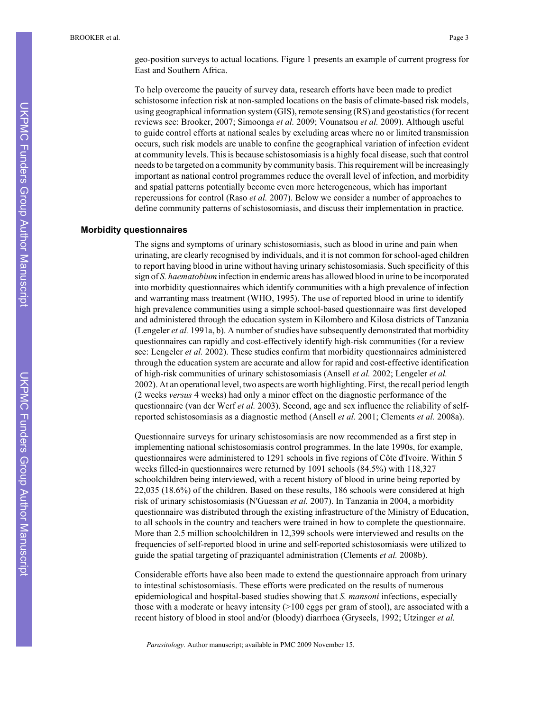geo-position surveys to actual locations. Figure 1 presents an example of current progress for East and Southern Africa.

To help overcome the paucity of survey data, research efforts have been made to predict schistosome infection risk at non-sampled locations on the basis of climate-based risk models, using geographical information system (GIS), remote sensing (RS) and geostatistics (for recent reviews see: Brooker, 2007; Simoonga *et al.* 2009; Vounatsou *et al.* 2009). Although useful to guide control efforts at national scales by excluding areas where no or limited transmission occurs, such risk models are unable to confine the geographical variation of infection evident at community levels. This is because schistosomiasis is a highly focal disease, such that control needs to be targeted on a community by community basis. This requirement will be increasingly important as national control programmes reduce the overall level of infection, and morbidity and spatial patterns potentially become even more heterogeneous, which has important repercussions for control (Raso *et al.* 2007). Below we consider a number of approaches to define community patterns of schistosomiasis, and discuss their implementation in practice.

#### **Morbidity questionnaires**

The signs and symptoms of urinary schistosomiasis, such as blood in urine and pain when urinating, are clearly recognised by individuals, and it is not common for school-aged children to report having blood in urine without having urinary schistosomiasis. Such specificity of this sign of *S. haematobium* infection in endemic areas has allowed blood in urine to be incorporated into morbidity questionnaires which identify communities with a high prevalence of infection and warranting mass treatment (WHO, 1995). The use of reported blood in urine to identify high prevalence communities using a simple school-based questionnaire was first developed and administered through the education system in Kilombero and Kilosa districts of Tanzania (Lengeler *et al.* 1991a, b). A number of studies have subsequently demonstrated that morbidity questionnaires can rapidly and cost-effectively identify high-risk communities (for a review see: Lengeler *et al.* 2002). These studies confirm that morbidity questionnaires administered through the education system are accurate and allow for rapid and cost-effective identification of high-risk communities of urinary schistosomiasis (Ansell *et al.* 2002; Lengeler *et al.* 2002). At an operational level, two aspects are worth highlighting. First, the recall period length (2 weeks *versus* 4 weeks) had only a minor effect on the diagnostic performance of the questionnaire (van der Werf *et al.* 2003). Second, age and sex influence the reliability of selfreported schistosomiasis as a diagnostic method (Ansell *et al.* 2001; Clements *et al.* 2008a).

Questionnaire surveys for urinary schistosomiasis are now recommended as a first step in implementing national schistosomiasis control programmes. In the late 1990s, for example, questionnaires were administered to 1291 schools in five regions of Côte d'Ivoire. Within 5 weeks filled-in questionnaires were returned by 1091 schools (84.5%) with 118,327 schoolchildren being interviewed, with a recent history of blood in urine being reported by 22,035 (18.6%) of the children. Based on these results, 186 schools were considered at high risk of urinary schistosomiasis (N'Guessan *et al.* 2007). In Tanzania in 2004, a morbidity questionnaire was distributed through the existing infrastructure of the Ministry of Education, to all schools in the country and teachers were trained in how to complete the questionnaire. More than 2.5 million schoolchildren in 12,399 schools were interviewed and results on the frequencies of self-reported blood in urine and self-reported schistosomiasis were utilized to guide the spatial targeting of praziquantel administration (Clements *et al.* 2008b).

Considerable efforts have also been made to extend the questionnaire approach from urinary to intestinal schistosomiasis. These efforts were predicated on the results of numerous epidemiological and hospital-based studies showing that *S. mansoni* infections, especially those with a moderate or heavy intensity (>100 eggs per gram of stool), are associated with a recent history of blood in stool and/or (bloody) diarrhoea (Gryseels, 1992; Utzinger *et al.*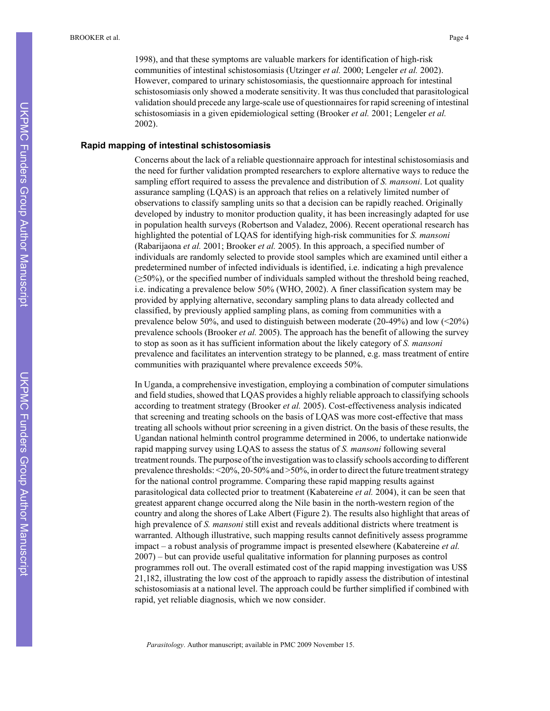1998), and that these symptoms are valuable markers for identification of high-risk communities of intestinal schistosomiasis (Utzinger *et al.* 2000; Lengeler *et al.* 2002). However, compared to urinary schistosomiasis, the questionnaire approach for intestinal schistosomiasis only showed a moderate sensitivity. It was thus concluded that parasitological validation should precede any large-scale use of questionnaires for rapid screening of intestinal schistosomiasis in a given epidemiological setting (Brooker *et al.* 2001; Lengeler *et al.* 2002).

#### **Rapid mapping of intestinal schistosomiasis**

Concerns about the lack of a reliable questionnaire approach for intestinal schistosomiasis and the need for further validation prompted researchers to explore alternative ways to reduce the sampling effort required to assess the prevalence and distribution of *S. mansoni*. Lot quality assurance sampling (LQAS) is an approach that relies on a relatively limited number of observations to classify sampling units so that a decision can be rapidly reached. Originally developed by industry to monitor production quality, it has been increasingly adapted for use in population health surveys (Robertson and Valadez, 2006). Recent operational research has highlighted the potential of LQAS for identifying high-risk communities for *S. mansoni* (Rabarijaona *et al.* 2001; Brooker *et al.* 2005). In this approach, a specified number of individuals are randomly selected to provide stool samples which are examined until either a predetermined number of infected individuals is identified, i.e. indicating a high prevalence  $(\geq 50\%)$ , or the specified number of individuals sampled without the threshold being reached, i.e. indicating a prevalence below 50% (WHO, 2002). A finer classification system may be provided by applying alternative, secondary sampling plans to data already collected and classified, by previously applied sampling plans, as coming from communities with a prevalence below 50%, and used to distinguish between moderate (20-49%) and low (<20%) prevalence schools (Brooker *et al.* 2005). The approach has the benefit of allowing the survey to stop as soon as it has sufficient information about the likely category of *S. mansoni* prevalence and facilitates an intervention strategy to be planned, e.g. mass treatment of entire communities with praziquantel where prevalence exceeds 50%.

In Uganda, a comprehensive investigation, employing a combination of computer simulations and field studies, showed that LQAS provides a highly reliable approach to classifying schools according to treatment strategy (Brooker *et al.* 2005). Cost-effectiveness analysis indicated that screening and treating schools on the basis of LQAS was more cost-effective that mass treating all schools without prior screening in a given district. On the basis of these results, the Ugandan national helminth control programme determined in 2006, to undertake nationwide rapid mapping survey using LQAS to assess the status of *S. mansoni* following several treatment rounds. The purpose of the investigation was to classify schools according to different prevalence thresholds: <20%, 20-50% and >50%, in order to direct the future treatment strategy for the national control programme. Comparing these rapid mapping results against parasitological data collected prior to treatment (Kabatereine *et al.* 2004), it can be seen that greatest apparent change occurred along the Nile basin in the north-western region of the country and along the shores of Lake Albert (Figure 2). The results also highlight that areas of high prevalence of *S. mansoni* still exist and reveals additional districts where treatment is warranted. Although illustrative, such mapping results cannot definitively assess programme impact – a robust analysis of programme impact is presented elsewhere (Kabatereine *et al.* 2007) – but can provide useful qualitative information for planning purposes as control programmes roll out. The overall estimated cost of the rapid mapping investigation was US\$ 21,182, illustrating the low cost of the approach to rapidly assess the distribution of intestinal schistosomiasis at a national level. The approach could be further simplified if combined with rapid, yet reliable diagnosis, which we now consider.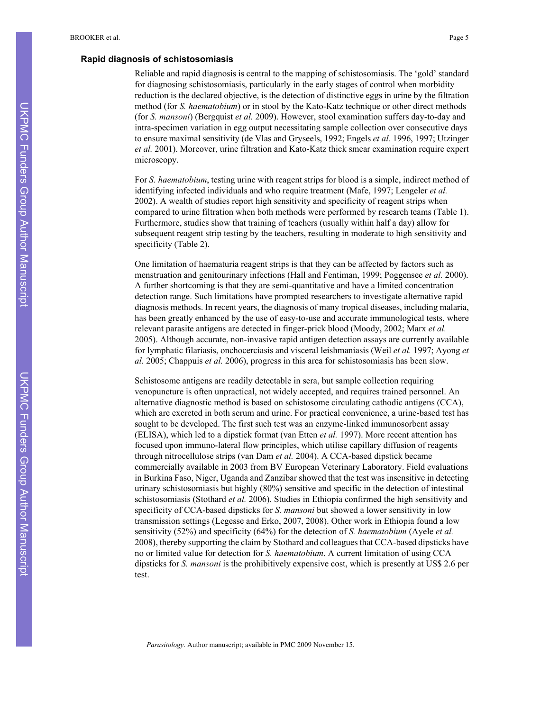#### **Rapid diagnosis of schistosomiasis**

Reliable and rapid diagnosis is central to the mapping of schistosomiasis. The 'gold' standard for diagnosing schistosomiasis, particularly in the early stages of control when morbidity reduction is the declared objective, is the detection of distinctive eggs in urine by the filtration method (for *S. haematobium*) or in stool by the Kato-Katz technique or other direct methods (for *S. mansoni*) (Bergquist *et al.* 2009). However, stool examination suffers day-to-day and intra-specimen variation in egg output necessitating sample collection over consecutive days to ensure maximal sensitivity (de Vlas and Gryseels, 1992; Engels *et al.* 1996, 1997; Utzinger *et al.* 2001). Moreover, urine filtration and Kato-Katz thick smear examination require expert microscopy.

For *S. haematobium*, testing urine with reagent strips for blood is a simple, indirect method of identifying infected individuals and who require treatment (Mafe, 1997; Lengeler *et al.* 2002). A wealth of studies report high sensitivity and specificity of reagent strips when compared to urine filtration when both methods were performed by research teams (Table 1). Furthermore, studies show that training of teachers (usually within half a day) allow for subsequent reagent strip testing by the teachers, resulting in moderate to high sensitivity and specificity (Table 2).

One limitation of haematuria reagent strips is that they can be affected by factors such as menstruation and genitourinary infections (Hall and Fentiman, 1999; Poggensee *et al.* 2000). A further shortcoming is that they are semi-quantitative and have a limited concentration detection range. Such limitations have prompted researchers to investigate alternative rapid diagnosis methods. In recent years, the diagnosis of many tropical diseases, including malaria, has been greatly enhanced by the use of easy-to-use and accurate immunological tests, where relevant parasite antigens are detected in finger-prick blood (Moody, 2002; Marx *et al.* 2005). Although accurate, non-invasive rapid antigen detection assays are currently available for lymphatic filariasis, onchocerciasis and visceral leishmaniasis (Weil *et al.* 1997; Ayong *et al.* 2005; Chappuis *et al.* 2006), progress in this area for schistosomiasis has been slow.

Schistosome antigens are readily detectable in sera, but sample collection requiring venopuncture is often unpractical, not widely accepted, and requires trained personnel. An alternative diagnostic method is based on schistosome circulating cathodic antigens (CCA), which are excreted in both serum and urine. For practical convenience, a urine-based test has sought to be developed. The first such test was an enzyme-linked immunosorbent assay (ELISA), which led to a dipstick format (van Etten *et al.* 1997). More recent attention has focused upon immuno-lateral flow principles, which utilise capillary diffusion of reagents through nitrocellulose strips (van Dam *et al.* 2004). A CCA-based dipstick became commercially available in 2003 from BV European Veterinary Laboratory. Field evaluations in Burkina Faso, Niger, Uganda and Zanzibar showed that the test was insensitive in detecting urinary schistosomiasis but highly (80%) sensitive and specific in the detection of intestinal schistosomiasis (Stothard *et al.* 2006). Studies in Ethiopia confirmed the high sensitivity and specificity of CCA-based dipsticks for *S. mansoni* but showed a lower sensitivity in low transmission settings (Legesse and Erko, 2007, 2008). Other work in Ethiopia found a low sensitivity (52%) and specificity (64%) for the detection of *S. haematobium* (Ayele *et al.* 2008), thereby supporting the claim by Stothard and colleagues that CCA-based dipsticks have no or limited value for detection for *S. haematobium*. A current limitation of using CCA dipsticks for *S. mansoni* is the prohibitively expensive cost, which is presently at US\$ 2.6 per test.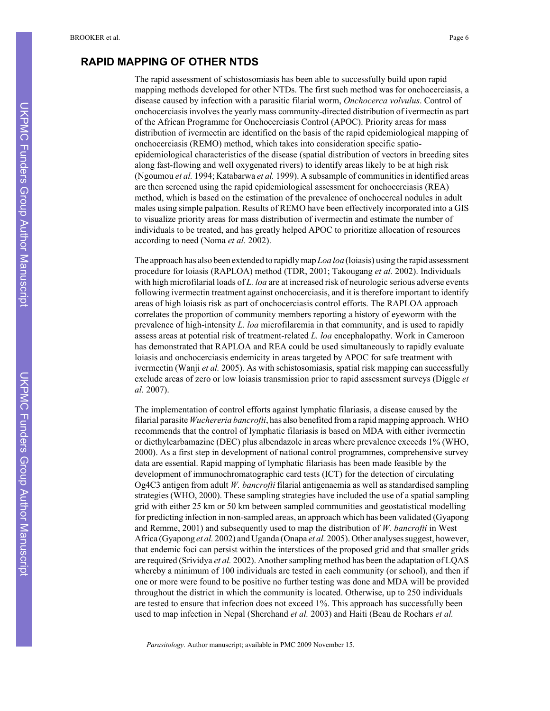### **RAPID MAPPING OF OTHER NTDS**

The rapid assessment of schistosomiasis has been able to successfully build upon rapid mapping methods developed for other NTDs. The first such method was for onchocerciasis, a disease caused by infection with a parasitic filarial worm, *Onchocerca volvulus*. Control of onchocerciasis involves the yearly mass community-directed distribution of ivermectin as part of the African Programme for Onchocerciasis Control (APOC). Priority areas for mass distribution of ivermectin are identified on the basis of the rapid epidemiological mapping of onchocerciasis (REMO) method, which takes into consideration specific spatioepidemiological characteristics of the disease (spatial distribution of vectors in breeding sites along fast-flowing and well oxygenated rivers) to identify areas likely to be at high risk (Ngoumou *et al.* 1994; Katabarwa *et al.* 1999). A subsample of communities in identified areas are then screened using the rapid epidemiological assessment for onchocerciasis (REA) method, which is based on the estimation of the prevalence of onchocercal nodules in adult males using simple palpation. Results of REMO have been effectively incorporated into a GIS to visualize priority areas for mass distribution of ivermectin and estimate the number of individuals to be treated, and has greatly helped APOC to prioritize allocation of resources according to need (Noma *et al.* 2002).

The approach has also been extended to rapidly map *Loa loa* (loiasis) using the rapid assessment procedure for loiasis (RAPLOA) method (TDR, 2001; Takougang *et al.* 2002). Individuals with high microfilarial loads of *L. loa* are at increased risk of neurologic serious adverse events following ivermectin treatment against onchocerciasis, and it is therefore important to identify areas of high loiasis risk as part of onchocerciasis control efforts. The RAPLOA approach correlates the proportion of community members reporting a history of eyeworm with the prevalence of high-intensity *L. loa* microfilaremia in that community, and is used to rapidly assess areas at potential risk of treatment-related *L. loa* encephalopathy. Work in Cameroon has demonstrated that RAPLOA and REA could be used simultaneously to rapidly evaluate loiasis and onchocerciasis endemicity in areas targeted by APOC for safe treatment with ivermectin (Wanji *et al.* 2005). As with schistosomiasis, spatial risk mapping can successfully exclude areas of zero or low loiasis transmission prior to rapid assessment surveys (Diggle *et al.* 2007).

The implementation of control efforts against lymphatic filariasis, a disease caused by the filarial parasite *Wuchereria bancrofti*, has also benefited from a rapid mapping approach. WHO recommends that the control of lymphatic filariasis is based on MDA with either ivermectin or diethylcarbamazine (DEC) plus albendazole in areas where prevalence exceeds 1% (WHO, 2000). As a first step in development of national control programmes, comprehensive survey data are essential. Rapid mapping of lymphatic filariasis has been made feasible by the development of immunochromatographic card tests (ICT) for the detection of circulating Og4C3 antigen from adult *W. bancrofti* filarial antigenaemia as well as standardised sampling strategies (WHO, 2000). These sampling strategies have included the use of a spatial sampling grid with either 25 km or 50 km between sampled communities and geostatistical modelling for predicting infection in non-sampled areas, an approach which has been validated (Gyapong and Remme, 2001) and subsequently used to map the distribution of *W. bancrofti* in West Africa (Gyapong *et al.* 2002) and Uganda (Onapa *et al.* 2005). Other analyses suggest, however, that endemic foci can persist within the interstices of the proposed grid and that smaller grids are required (Srividya *et al.* 2002). Another sampling method has been the adaptation of LQAS whereby a minimum of 100 individuals are tested in each community (or school), and then if one or more were found to be positive no further testing was done and MDA will be provided throughout the district in which the community is located. Otherwise, up to 250 individuals are tested to ensure that infection does not exceed 1%. This approach has successfully been used to map infection in Nepal (Sherchand *et al.* 2003) and Haiti (Beau de Rochars *et al.*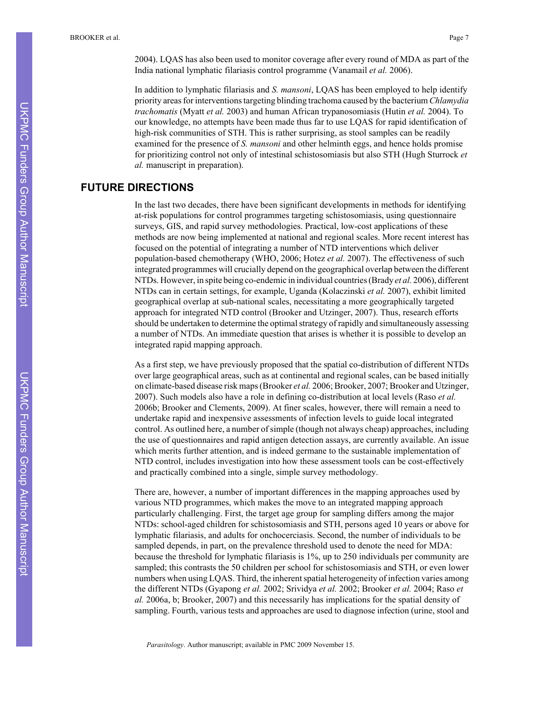2004). LQAS has also been used to monitor coverage after every round of MDA as part of the India national lymphatic filariasis control programme (Vanamail *et al.* 2006).

In addition to lymphatic filariasis and *S. mansoni*, LQAS has been employed to help identify priority areas for interventions targeting blinding trachoma caused by the bacterium *Chlamydia trachomatis* (Myatt *et al.* 2003) and human African trypanosomiasis (Hutin *et al.* 2004). To our knowledge, no attempts have been made thus far to use LQAS for rapid identification of high-risk communities of STH. This is rather surprising, as stool samples can be readily examined for the presence of *S. mansoni* and other helminth eggs, and hence holds promise for prioritizing control not only of intestinal schistosomiasis but also STH (Hugh Sturrock *et al.* manuscript in preparation).

# **FUTURE DIRECTIONS**

In the last two decades, there have been significant developments in methods for identifying at-risk populations for control programmes targeting schistosomiasis, using questionnaire surveys, GIS, and rapid survey methodologies. Practical, low-cost applications of these methods are now being implemented at national and regional scales. More recent interest has focused on the potential of integrating a number of NTD interventions which deliver population-based chemotherapy (WHO, 2006; Hotez *et al.* 2007). The effectiveness of such integrated programmes will crucially depend on the geographical overlap between the different NTDs. However, in spite being co-endemic in individual countries (Brady *et al.* 2006), different NTDs can in certain settings, for example, Uganda (Kolaczinski *et al.* 2007), exhibit limited geographical overlap at sub-national scales, necessitating a more geographically targeted approach for integrated NTD control (Brooker and Utzinger, 2007). Thus, research efforts should be undertaken to determine the optimal strategy of rapidly and simultaneously assessing a number of NTDs. An immediate question that arises is whether it is possible to develop an integrated rapid mapping approach.

As a first step, we have previously proposed that the spatial co-distribution of different NTDs over large geographical areas, such as at continental and regional scales, can be based initially on climate-based disease risk maps (Brooker *et al.* 2006; Brooker, 2007; Brooker and Utzinger, 2007). Such models also have a role in defining co-distribution at local levels (Raso *et al.* 2006b; Brooker and Clements, 2009). At finer scales, however, there will remain a need to undertake rapid and inexpensive assessments of infection levels to guide local integrated control. As outlined here, a number of simple (though not always cheap) approaches, including the use of questionnaires and rapid antigen detection assays, are currently available. An issue which merits further attention, and is indeed germane to the sustainable implementation of NTD control, includes investigation into how these assessment tools can be cost-effectively and practically combined into a single, simple survey methodology.

There are, however, a number of important differences in the mapping approaches used by various NTD programmes, which makes the move to an integrated mapping approach particularly challenging. First, the target age group for sampling differs among the major NTDs: school-aged children for schistosomiasis and STH, persons aged 10 years or above for lymphatic filariasis, and adults for onchocerciasis. Second, the number of individuals to be sampled depends, in part, on the prevalence threshold used to denote the need for MDA: because the threshold for lymphatic filariasis is 1%, up to 250 individuals per community are sampled; this contrasts the 50 children per school for schistosomiasis and STH, or even lower numbers when using LQAS. Third, the inherent spatial heterogeneity of infection varies among the different NTDs (Gyapong *et al.* 2002; Srividya *et al.* 2002; Brooker *et al.* 2004; Raso *et al.* 2006a, b; Brooker, 2007) and this necessarily has implications for the spatial density of sampling. Fourth, various tests and approaches are used to diagnose infection (urine, stool and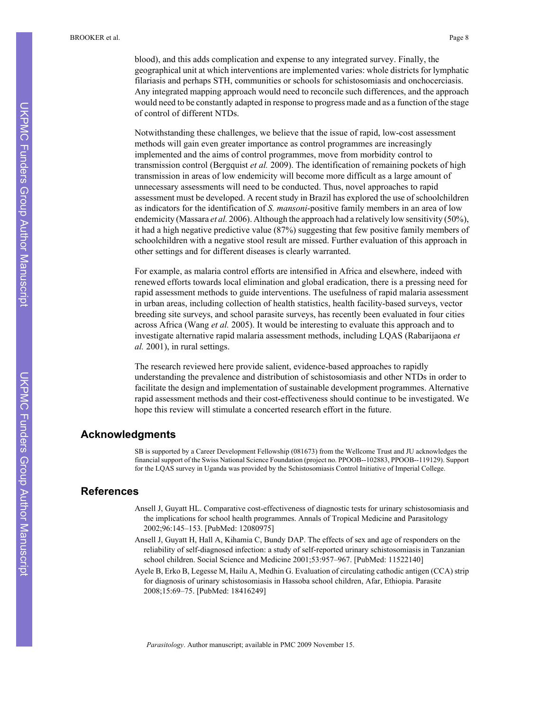blood), and this adds complication and expense to any integrated survey. Finally, the geographical unit at which interventions are implemented varies: whole districts for lymphatic filariasis and perhaps STH, communities or schools for schistosomiasis and onchocerciasis. Any integrated mapping approach would need to reconcile such differences, and the approach would need to be constantly adapted in response to progress made and as a function of the stage of control of different NTDs.

Notwithstanding these challenges, we believe that the issue of rapid, low-cost assessment methods will gain even greater importance as control programmes are increasingly implemented and the aims of control programmes, move from morbidity control to transmission control (Bergquist *et al.* 2009). The identification of remaining pockets of high transmission in areas of low endemicity will become more difficult as a large amount of unnecessary assessments will need to be conducted. Thus, novel approaches to rapid assessment must be developed. A recent study in Brazil has explored the use of schoolchildren as indicators for the identification of *S. mansoni*-positive family members in an area of low endemicity (Massara *et al.* 2006). Although the approach had a relatively low sensitivity (50%), it had a high negative predictive value (87%) suggesting that few positive family members of schoolchildren with a negative stool result are missed. Further evaluation of this approach in other settings and for different diseases is clearly warranted.

For example, as malaria control efforts are intensified in Africa and elsewhere, indeed with renewed efforts towards local elimination and global eradication, there is a pressing need for rapid assessment methods to guide interventions. The usefulness of rapid malaria assessment in urban areas, including collection of health statistics, health facility-based surveys, vector breeding site surveys, and school parasite surveys, has recently been evaluated in four cities across Africa (Wang *et al.* 2005). It would be interesting to evaluate this approach and to investigate alternative rapid malaria assessment methods, including LQAS (Rabarijaona *et al.* 2001), in rural settings.

The research reviewed here provide salient, evidence-based approaches to rapidly understanding the prevalence and distribution of schistosomiasis and other NTDs in order to facilitate the design and implementation of sustainable development programmes. Alternative rapid assessment methods and their cost-effectiveness should continue to be investigated. We hope this review will stimulate a concerted research effort in the future.

### **Acknowledgments**

SB is supported by a Career Development Fellowship (081673) from the Wellcome Trust and JU acknowledges the financial support of the Swiss National Science Foundation (project no. PPOOB--102883, PPOOB--119129). Support for the LQAS survey in Uganda was provided by the Schistosomiasis Control Initiative of Imperial College.

### **References**

- Ansell J, Guyatt HL. Comparative cost-effectiveness of diagnostic tests for urinary schistosomiasis and the implications for school health programmes. Annals of Tropical Medicine and Parasitology 2002;96:145–153. [PubMed: 12080975]
- Ansell J, Guyatt H, Hall A, Kihamia C, Bundy DAP. The effects of sex and age of responders on the reliability of self-diagnosed infection: a study of self-reported urinary schistosomiasis in Tanzanian school children. Social Science and Medicine 2001;53:957–967. [PubMed: 11522140]
- Ayele B, Erko B, Legesse M, Hailu A, Medhin G. Evaluation of circulating cathodic antigen (CCA) strip for diagnosis of urinary schistosomiasis in Hassoba school children, Afar, Ethiopia. Parasite 2008;15:69–75. [PubMed: 18416249]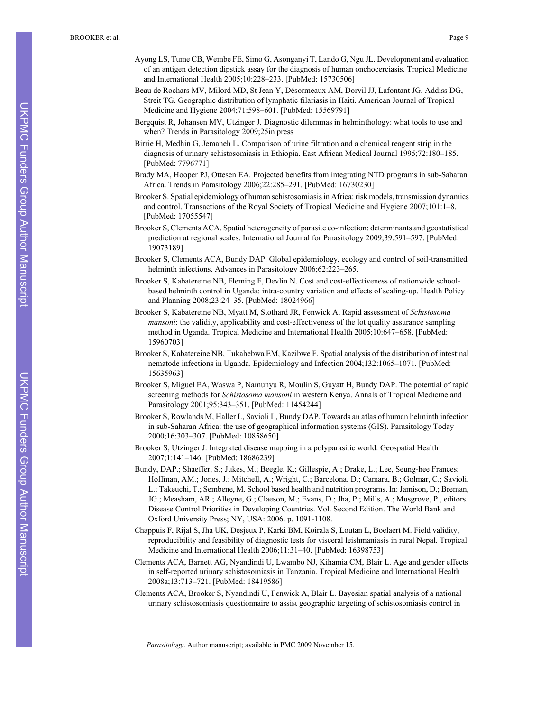- Ayong LS, Tume CB, Wembe FE, Simo G, Asonganyi T, Lando G, Ngu JL. Development and evaluation of an antigen detection dipstick assay for the diagnosis of human onchocerciasis. Tropical Medicine and International Health 2005;10:228–233. [PubMed: 15730506]
- Beau de Rochars MV, Milord MD, St Jean Y, Désormeaux AM, Dorvil JJ, Lafontant JG, Addiss DG, Streit TG. Geographic distribution of lymphatic filariasis in Haiti. American Journal of Tropical Medicine and Hygiene 2004;71:598–601. [PubMed: 15569791]
- Bergquist R, Johansen MV, Utzinger J. Diagnostic dilemmas in helminthology: what tools to use and when? Trends in Parasitology 2009;25in press
- Birrie H, Medhin G, Jemaneh L. Comparison of urine filtration and a chemical reagent strip in the diagnosis of urinary schistosomiasis in Ethiopia. East African Medical Journal 1995;72:180–185. [PubMed: 7796771]
- Brady MA, Hooper PJ, Ottesen EA. Projected benefits from integrating NTD programs in sub-Saharan Africa. Trends in Parasitology 2006;22:285–291. [PubMed: 16730230]
- Brooker S. Spatial epidemiology of human schistosomiasis in Africa: risk models, transmission dynamics and control. Transactions of the Royal Society of Tropical Medicine and Hygiene 2007;101:1–8. [PubMed: 17055547]
- Brooker S, Clements ACA. Spatial heterogeneity of parasite co-infection: determinants and geostatistical prediction at regional scales. International Journal for Parasitology 2009;39:591–597. [PubMed: 19073189]
- Brooker S, Clements ACA, Bundy DAP. Global epidemiology, ecology and control of soil-transmitted helminth infections. Advances in Parasitology 2006;62:223–265.
- Brooker S, Kabatereine NB, Fleming F, Devlin N. Cost and cost-effectiveness of nationwide schoolbased helminth control in Uganda: intra-country variation and effects of scaling-up. Health Policy and Planning 2008;23:24–35. [PubMed: 18024966]
- Brooker S, Kabatereine NB, Myatt M, Stothard JR, Fenwick A. Rapid assessment of *Schistosoma mansoni*: the validity, applicability and cost-effectiveness of the lot quality assurance sampling method in Uganda. Tropical Medicine and International Health 2005;10:647–658. [PubMed: 15960703]
- Brooker S, Kabatereine NB, Tukahebwa EM, Kazibwe F. Spatial analysis of the distribution of intestinal nematode infections in Uganda. Epidemiology and Infection 2004;132:1065–1071. [PubMed: 15635963]
- Brooker S, Miguel EA, Waswa P, Namunyu R, Moulin S, Guyatt H, Bundy DAP. The potential of rapid screening methods for *Schistosoma mansoni* in western Kenya. Annals of Tropical Medicine and Parasitology 2001;95:343–351. [PubMed: 11454244]
- Brooker S, Rowlands M, Haller L, Savioli L, Bundy DAP. Towards an atlas of human helminth infection in sub-Saharan Africa: the use of geographical information systems (GIS). Parasitology Today 2000;16:303–307. [PubMed: 10858650]
- Brooker S, Utzinger J. Integrated disease mapping in a polyparasitic world. Geospatial Health 2007;1:141–146. [PubMed: 18686239]
- Bundy, DAP.; Shaeffer, S.; Jukes, M.; Beegle, K.; Gillespie, A.; Drake, L.; Lee, Seung-hee Frances; Hoffman, AM.; Jones, J.; Mitchell, A.; Wright, C.; Barcelona, D.; Camara, B.; Golmar, C.; Savioli, L.; Takeuchi, T.; Sembene, M. School based health and nutrition programs. In: Jamison, D.; Breman, JG.; Measham, AR.; Alleyne, G.; Claeson, M.; Evans, D.; Jha, P.; Mills, A.; Musgrove, P., editors. Disease Control Priorities in Developing Countries. Vol. Second Edition. The World Bank and Oxford University Press; NY, USA: 2006. p. 1091-1108.
- Chappuis F, Rijal S, Jha UK, Desjeux P, Karki BM, Koirala S, Loutan L, Boelaert M. Field validity, reproducibility and feasibility of diagnostic tests for visceral leishmaniasis in rural Nepal. Tropical Medicine and International Health 2006;11:31–40. [PubMed: 16398753]
- Clements ACA, Barnett AG, Nyandindi U, Lwambo NJ, Kihamia CM, Blair L. Age and gender effects in self-reported urinary schistosomiasis in Tanzania. Tropical Medicine and International Health 2008a;13:713–721. [PubMed: 18419586]
- Clements ACA, Brooker S, Nyandindi U, Fenwick A, Blair L. Bayesian spatial analysis of a national urinary schistosomiasis questionnaire to assist geographic targeting of schistosomiasis control in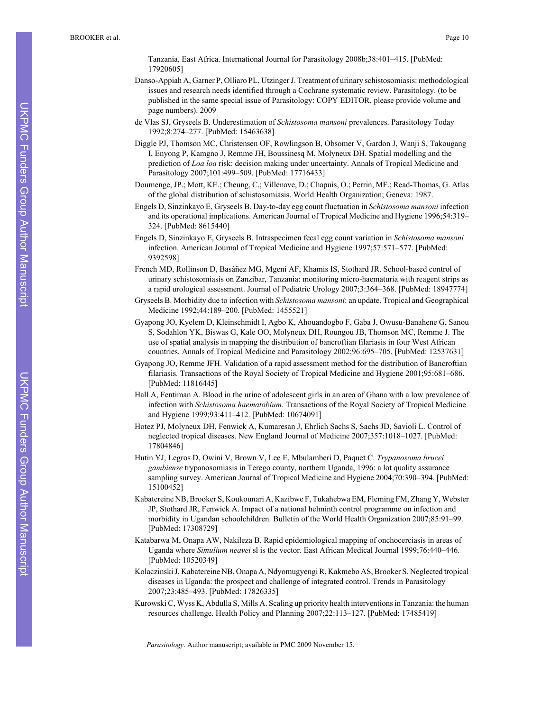Tanzania, East Africa. International Journal for Parasitology 2008b;38:401–415. [PubMed: 17920605]

- Danso-Appiah A, Garner P, Olliaro PL, Utzinger J. Treatment of urinary schistosomiasis: methodological issues and research needs identified through a Cochrane systematic review. Parasitology. (to be published in the same special issue of Parasitology: COPY EDITOR, please provide volume and page numbers). 2009
- de Vlas SJ, Gryseels B. Underestimation of *Schistosoma mansoni* prevalences. Parasitology Today 1992;8:274–277. [PubMed: 15463638]
- Diggle PJ, Thomson MC, Christensen OF, Rowlingson B, Obsomer V, Gardon J, Wanji S, Takougang I, Enyong P, Kamgno J, Remme JH, Boussinesq M, Molyneux DH. Spatial modelling and the prediction of *Loa loa* risk: decision making under uncertainty. Annals of Tropical Medicine and Parasitology 2007;101:499–509. [PubMed: 17716433]
- Doumenge, JP.; Mott, KE.; Cheung, C.; Villenave, D.; Chapuis, O.; Perrin, MF.; Read-Thomas, G. Atlas of the global distribution of schistosomiasis. World Health Organization; Geneva: 1987.
- Engels D, Sinzinkayo E, Gryseels B. Day-to-day egg count fluctuation in *Schistosoma mansoni* infection and its operational implications. American Journal of Tropical Medicine and Hygiene 1996;54:319– 324. [PubMed: 8615440]
- Engels D, Sinzinkayo E, Gryseels B. Intraspecimen fecal egg count variation in *Schistosoma mansoni* infection. American Journal of Tropical Medicine and Hygiene 1997;57:571–577. [PubMed: 9392598]
- French MD, Rollinson D, Basáñez MG, Mgeni AF, Khamis IS, Stothard JR. School-based control of urinary schistosomiasis on Zanzibar, Tanzania: monitoring micro-haematuria with reagent strips as a rapid urological assessment. Journal of Pediatric Urology 2007;3:364–368. [PubMed: 18947774]
- Gryseels B. Morbidity due to infection with *Schistosoma mansoni*: an update. Tropical and Geographical Medicine 1992;44:189–200. [PubMed: 1455521]
- Gyapong JO, Kyelem D, Kleinschmidt I, Agbo K, Ahouandogbo F, Gaba J, Owusu-Banahene G, Sanou S, Sodahlon YK, Biswas G, Kale OO, Molyneux DH, Roungou JB, Thomson MC, Remme J. The use of spatial analysis in mapping the distribution of bancroftian filariasis in four West African countries. Annals of Tropical Medicine and Parasitology 2002;96:695–705. [PubMed: 12537631]
- Gyapong JO, Remme JFH. Validation of a rapid assessment method for the distribution of Bancroftian filariasis. Transactions of the Royal Society of Tropical Medicine and Hygiene 2001;95:681–686. [PubMed: 11816445]
- Hall A, Fentiman A. Blood in the urine of adolescent girls in an area of Ghana with a low prevalence of infection with *Schistosoma haematobium*. Transactions of the Royal Society of Tropical Medicine and Hygiene 1999;93:411–412. [PubMed: 10674091]
- Hotez PJ, Molyneux DH, Fenwick A, Kumaresan J, Ehrlich Sachs S, Sachs JD, Savioli L. Control of neglected tropical diseases. New England Journal of Medicine 2007;357:1018–1027. [PubMed: 17804846]
- Hutin YJ, Legros D, Owini V, Brown V, Lee E, Mbulamberi D, Paquet C. *Trypanosoma brucei gambiense* trypanosomiasis in Terego county, northern Uganda, 1996: a lot quality assurance sampling survey. American Journal of Tropical Medicine and Hygiene 2004;70:390–394. [PubMed: 15100452]
- Kabatereine NB, Brooker S, Koukounari A, Kazibwe F, Tukahebwa EM, Fleming FM, Zhang Y, Webster JP, Stothard JR, Fenwick A. Impact of a national helminth control programme on infection and morbidity in Ugandan schoolchildren. Bulletin of the World Health Organization 2007;85:91–99. [PubMed: 17308729]
- Katabarwa M, Onapa AW, Nakileza B. Rapid epidemiological mapping of onchocerciasis in areas of Uganda where *Simulium neavei* sl is the vector. East African Medical Journal 1999;76:440–446. [PubMed: 10520349]
- Kolaczinski J, Kabatereine NB, Onapa A, Ndyomugyengi R, Kakmebo AS, Brooker S. Neglected tropical diseases in Uganda: the prospect and challenge of integrated control. Trends in Parasitology 2007;23:485–493. [PubMed: 17826335]
- Kurowski C, Wyss K, Abdulla S, Mills A. Scaling up priority health interventions in Tanzania: the human resources challenge. Health Policy and Planning 2007;22:113–127. [PubMed: 17485419]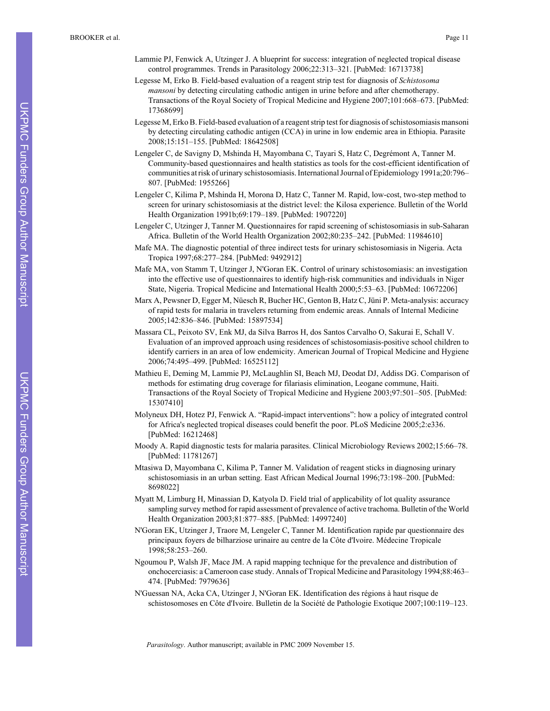- Lammie PJ, Fenwick A, Utzinger J. A blueprint for success: integration of neglected tropical disease control programmes. Trends in Parasitology 2006;22:313–321. [PubMed: 16713738]
- Legesse M, Erko B. Field-based evaluation of a reagent strip test for diagnosis of *Schistosoma mansoni* by detecting circulating cathodic antigen in urine before and after chemotherapy. Transactions of the Royal Society of Tropical Medicine and Hygiene 2007;101:668–673. [PubMed: 17368699]
- Legesse M, Erko B. Field-based evaluation of a reagent strip test for diagnosis of schistosomiasis mansoni by detecting circulating cathodic antigen (CCA) in urine in low endemic area in Ethiopia. Parasite 2008;15:151–155. [PubMed: 18642508]
- Lengeler C, de Savigny D, Mshinda H, Mayombana C, Tayari S, Hatz C, Degrémont A, Tanner M. Community-based questionnaires and health statistics as tools for the cost-efficient identification of communities at risk of urinary schistosomiasis. International Journal of Epidemiology 1991a;20:796– 807. [PubMed: 1955266]
- Lengeler C, Kilima P, Mshinda H, Morona D, Hatz C, Tanner M. Rapid, low-cost, two-step method to screen for urinary schistosomiasis at the district level: the Kilosa experience. Bulletin of the World Health Organization 1991b;69:179–189. [PubMed: 1907220]
- Lengeler C, Utzinger J, Tanner M. Questionnaires for rapid screening of schistosomiasis in sub-Saharan Africa. Bulletin of the World Health Organization 2002;80:235–242. [PubMed: 11984610]
- Mafe MA. The diagnostic potential of three indirect tests for urinary schistosomiasis in Nigeria. Acta Tropica 1997;68:277–284. [PubMed: 9492912]
- Mafe MA, von Stamm T, Utzinger J, N'Goran EK. Control of urinary schistosomiasis: an investigation into the effective use of questionnaires to identify high-risk communities and individuals in Niger State, Nigeria. Tropical Medicine and International Health 2000;5:53–63. [PubMed: 10672206]
- Marx A, Pewsner D, Egger M, Nüesch R, Bucher HC, Genton B, Hatz C, Jüni P. Meta-analysis: accuracy of rapid tests for malaria in travelers returning from endemic areas. Annals of Internal Medicine 2005;142:836–846. [PubMed: 15897534]
- Massara CL, Peixoto SV, Enk MJ, da Silva Barros H, dos Santos Carvalho O, Sakurai E, Schall V. Evaluation of an improved approach using residences of schistosomiasis-positive school children to identify carriers in an area of low endemicity. American Journal of Tropical Medicine and Hygiene 2006;74:495–499. [PubMed: 16525112]
- Mathieu E, Deming M, Lammie PJ, McLaughlin SI, Beach MJ, Deodat DJ, Addiss DG. Comparison of methods for estimating drug coverage for filariasis elimination, Leogane commune, Haiti. Transactions of the Royal Society of Tropical Medicine and Hygiene 2003;97:501–505. [PubMed: 15307410]
- Molyneux DH, Hotez PJ, Fenwick A. "Rapid-impact interventions": how a policy of integrated control for Africa's neglected tropical diseases could benefit the poor. PLoS Medicine 2005;2:e336. [PubMed: 16212468]
- Moody A. Rapid diagnostic tests for malaria parasites. Clinical Microbiology Reviews 2002;15:66–78. [PubMed: 11781267]
- Mtasiwa D, Mayombana C, Kilima P, Tanner M. Validation of reagent sticks in diagnosing urinary schistosomiasis in an urban setting. East African Medical Journal 1996;73:198–200. [PubMed: 8698022]
- Myatt M, Limburg H, Minassian D, Katyola D. Field trial of applicability of lot quality assurance sampling survey method for rapid assessment of prevalence of active trachoma. Bulletin of the World Health Organization 2003;81:877–885. [PubMed: 14997240]
- N'Goran EK, Utzinger J, Traore M, Lengeler C, Tanner M. Identification rapide par questionnaire des principaux foyers de bilharziose urinaire au centre de la Côte d'Ivoire. Médecine Tropicale 1998;58:253–260.
- Ngoumou P, Walsh JF, Mace JM. A rapid mapping technique for the prevalence and distribution of onchocerciasis: a Cameroon case study. Annals of Tropical Medicine and Parasitology 1994;88:463– 474. [PubMed: 7979636]
- N'Guessan NA, Acka CA, Utzinger J, N'Goran EK. Identification des régions à haut risque de schistosomoses en Côte d'Ivoire. Bulletin de la Société de Pathologie Exotique 2007;100:119–123.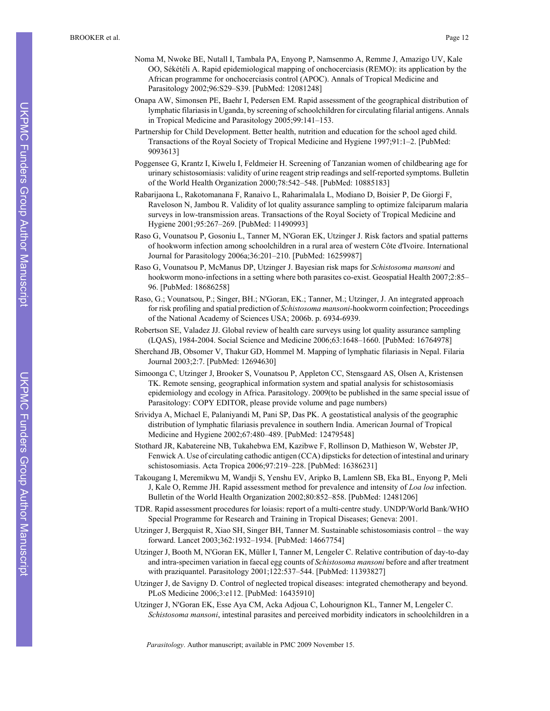- Noma M, Nwoke BE, Nutall I, Tambala PA, Enyong P, Namsenmo A, Remme J, Amazigo UV, Kale OO, Sékétéli A. Rapid epidemiological mapping of onchocerciasis (REMO): its application by the African programme for onchocerciasis control (APOC). Annals of Tropical Medicine and Parasitology 2002;96:S29–S39. [PubMed: 12081248]
- Onapa AW, Simonsen PE, Baehr I, Pedersen EM. Rapid assessment of the geographical distribution of lymphatic filariasis in Uganda, by screening of schoolchildren for circulating filarial antigens. Annals in Tropical Medicine and Parasitology 2005;99:141–153.
- Partnership for Child Development. Better health, nutrition and education for the school aged child. Transactions of the Royal Society of Tropical Medicine and Hygiene 1997;91:1–2. [PubMed: 9093613]
- Poggensee G, Krantz I, Kiwelu I, Feldmeier H. Screening of Tanzanian women of childbearing age for urinary schistosomiasis: validity of urine reagent strip readings and self-reported symptoms. Bulletin of the World Health Organization 2000;78:542–548. [PubMed: 10885183]
- Rabarijaona L, Rakotomanana F, Ranaivo L, Raharimalala L, Modiano D, Boisier P, De Giorgi F, Raveloson N, Jambou R. Validity of lot quality assurance sampling to optimize falciparum malaria surveys in low-transmission areas. Transactions of the Royal Society of Tropical Medicine and Hygiene 2001;95:267–269. [PubMed: 11490993]
- Raso G, Vounatsou P, Gosoniu L, Tanner M, N'Goran EK, Utzinger J. Risk factors and spatial patterns of hookworm infection among schoolchildren in a rural area of western Côte d'Ivoire. International Journal for Parasitology 2006a;36:201–210. [PubMed: 16259987]
- Raso G, Vounatsou P, McManus DP, Utzinger J. Bayesian risk maps for *Schistosoma mansoni* and hookworm mono-infections in a setting where both parasites co-exist. Geospatial Health 2007;2:85– 96. [PubMed: 18686258]
- Raso, G.; Vounatsou, P.; Singer, BH.; N'Goran, EK.; Tanner, M.; Utzinger, J. An integrated approach for risk profiling and spatial prediction of *Schistosoma mansoni*-hookworm coinfection; Proceedings of the National Academy of Sciences USA; 2006b. p. 6934-6939.
- Robertson SE, Valadez JJ. Global review of health care surveys using lot quality assurance sampling (LQAS), 1984-2004. Social Science and Medicine 2006;63:1648–1660. [PubMed: 16764978]
- Sherchand JB, Obsomer V, Thakur GD, Hommel M. Mapping of lymphatic filariasis in Nepal. Filaria Journal 2003;2:7. [PubMed: 12694630]
- Simoonga C, Utzinger J, Brooker S, Vounatsou P, Appleton CC, Stensgaard AS, Olsen A, Kristensen TK. Remote sensing, geographical information system and spatial analysis for schistosomiasis epidemiology and ecology in Africa. Parasitology. 2009(to be published in the same special issue of Parasitology: COPY EDITOR, please provide volume and page numbers)
- Srividya A, Michael E, Palaniyandi M, Pani SP, Das PK. A geostatistical analysis of the geographic distribution of lymphatic filariasis prevalence in southern India. American Journal of Tropical Medicine and Hygiene 2002;67:480–489. [PubMed: 12479548]
- Stothard JR, Kabatereine NB, Tukahebwa EM, Kazibwe F, Rollinson D, Mathieson W, Webster JP, Fenwick A. Use of circulating cathodic antigen (CCA) dipsticks for detection of intestinal and urinary schistosomiasis. Acta Tropica 2006;97:219–228. [PubMed: 16386231]
- Takougang I, Meremikwu M, Wandji S, Yenshu EV, Aripko B, Lamlenn SB, Eka BL, Enyong P, Meli J, Kale O, Remme JH. Rapid assessment method for prevalence and intensity of *Loa loa* infection. Bulletin of the World Health Organization 2002;80:852–858. [PubMed: 12481206]
- TDR. Rapid assessment procedures for loiasis: report of a multi-centre study. UNDP/World Bank/WHO Special Programme for Research and Training in Tropical Diseases; Geneva: 2001.
- Utzinger J, Bergquist R, Xiao SH, Singer BH, Tanner M. Sustainable schistosomiasis control the way forward. Lancet 2003;362:1932–1934. [PubMed: 14667754]
- Utzinger J, Booth M, N'Goran EK, Müller I, Tanner M, Lengeler C. Relative contribution of day-to-day and intra-specimen variation in faecal egg counts of *Schistosoma mansoni* before and after treatment with praziquantel. Parasitology 2001;122:537–544. [PubMed: 11393827]
- Utzinger J, de Savigny D. Control of neglected tropical diseases: integrated chemotherapy and beyond. PLoS Medicine 2006;3:e112. [PubMed: 16435910]
- Utzinger J, N'Goran EK, Esse Aya CM, Acka Adjoua C, Lohourignon KL, Tanner M, Lengeler C. *Schistosoma mansoni*, intestinal parasites and perceived morbidity indicators in schoolchildren in a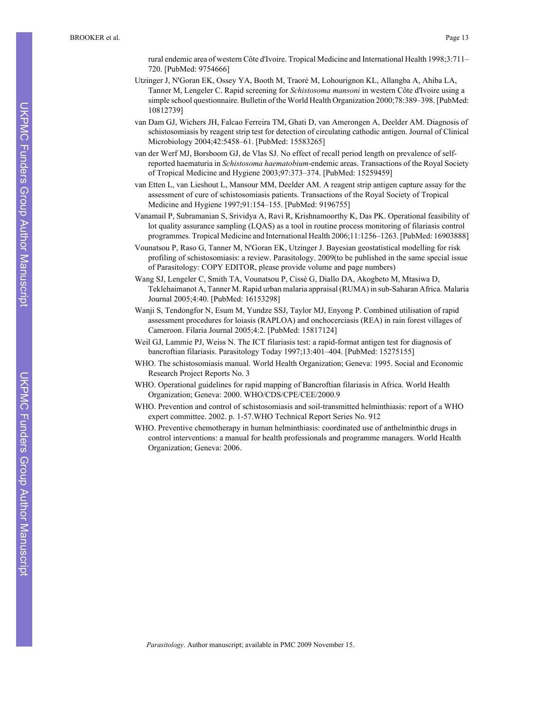rural endemic area of western Côte d'Ivoire. Tropical Medicine and International Health 1998;3:711– 720. [PubMed: 9754666]

- Utzinger J, N'Goran EK, Ossey YA, Booth M, Traoré M, Lohourignon KL, Allangba A, Ahiba LA, Tanner M, Lengeler C. Rapid screening for *Schistosoma mansoni* in western Côte d'Ivoire using a simple school questionnaire. Bulletin of the World Health Organization 2000;78:389–398. [PubMed: 10812739]
- van Dam GJ, Wichers JH, Falcao Ferreira TM, Ghati D, van Amerongen A, Deelder AM. Diagnosis of schistosomiasis by reagent strip test for detection of circulating cathodic antigen. Journal of Clinical Microbiology 2004;42:5458–61. [PubMed: 15583265]
- van der Werf MJ, Borsboom GJ, de Vlas SJ. No effect of recall period length on prevalence of selfreported haematuria in *Schistosoma haematobium*-endemic areas. Transactions of the Royal Society of Tropical Medicine and Hygiene 2003;97:373–374. [PubMed: 15259459]
- van Etten L, van Lieshout L, Mansour MM, Deelder AM. A reagent strip antigen capture assay for the assessment of cure of schistosomiasis patients. Transactions of the Royal Society of Tropical Medicine and Hygiene 1997;91:154–155. [PubMed: 9196755]
- Vanamail P, Subramanian S, Srividya A, Ravi R, Krishnamoorthy K, Das PK. Operational feasibility of lot quality assurance sampling (LQAS) as a tool in routine process monitoring of filariasis control programmes. Tropical Medicine and International Health 2006;11:1256–1263. [PubMed: 16903888]
- Vounatsou P, Raso G, Tanner M, N'Goran EK, Utzinger J. Bayesian geostatistical modelling for risk profiling of schistosomiasis: a review. Parasitology. 2009(to be published in the same special issue of Parasitology: COPY EDITOR, please provide volume and page numbers)
- Wang SJ, Lengeler C, Smith TA, Vounatsou P, Cissé G, Diallo DA, Akogbeto M, Mtasiwa D, Teklehaimanot A, Tanner M. Rapid urban malaria appraisal (RUMA) in sub-Saharan Africa. Malaria Journal 2005;4:40. [PubMed: 16153298]
- Wanji S, Tendongfor N, Esum M, Yundze SSJ, Taylor MJ, Enyong P. Combined utilisation of rapid assessment procedures for loiasis (RAPLOA) and onchocerciasis (REA) in rain forest villages of Cameroon. Filaria Journal 2005;4:2. [PubMed: 15817124]
- Weil GJ, Lammie PJ, Weiss N. The ICT filariasis test: a rapid-format antigen test for diagnosis of bancroftian filariasis. Parasitology Today 1997;13:401–404. [PubMed: 15275155]
- WHO. The schistosomiasis manual. World Health Organization; Geneva: 1995. Social and Economic Research Project Reports No. 3
- WHO. Operational guidelines for rapid mapping of Bancroftian filariasis in Africa. World Health Organization; Geneva: 2000. WHO/CDS/CPE/CEE/2000.9
- WHO. Prevention and control of schistosomiasis and soil-transmitted helminthiasis: report of a WHO expert committee. 2002. p. 1-57.WHO Technical Report Series No. 912
- WHO. Preventive chemotherapy in human helminthiasis: coordinated use of anthelminthic drugs in control interventions: a manual for health professionals and programme managers. World Health Organization; Geneva: 2006.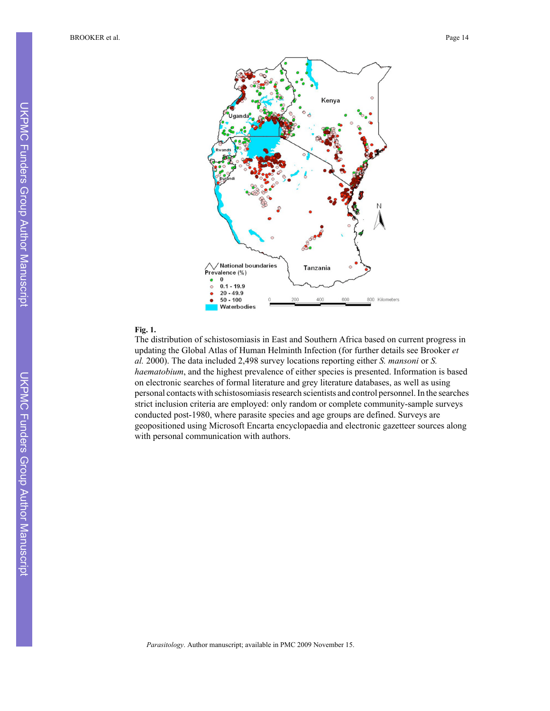

#### **Fig. 1.**

The distribution of schistosomiasis in East and Southern Africa based on current progress in updating the Global Atlas of Human Helminth Infection (for further details see Brooker *et al.* 2000). The data included 2,498 survey locations reporting either *S. mansoni* or *S. haematobium*, and the highest prevalence of either species is presented. Information is based on electronic searches of formal literature and grey literature databases, as well as using personal contacts with schistosomiasis research scientists and control personnel. In the searches strict inclusion criteria are employed: only random or complete community-sample surveys conducted post-1980, where parasite species and age groups are defined. Surveys are geopositioned using Microsoft Encarta encyclopaedia and electronic gazetteer sources along with personal communication with authors.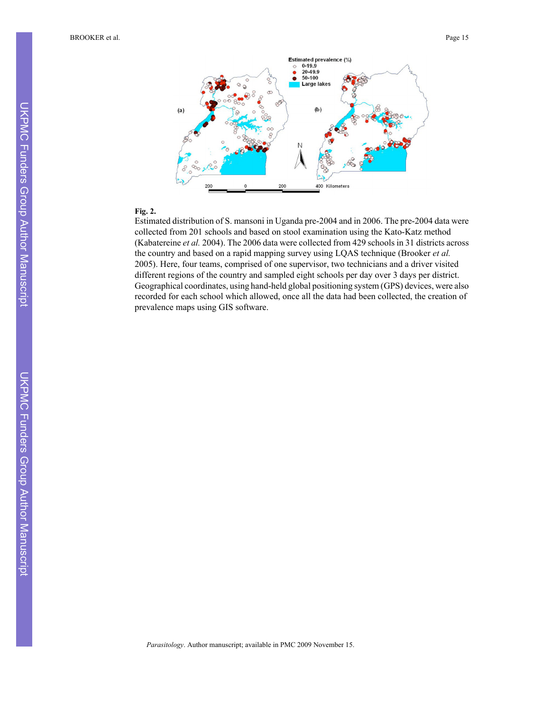BROOKER et al. Page 15



### **Fig. 2.**

Estimated distribution of S. mansoni in Uganda pre-2004 and in 2006. The pre-2004 data were collected from 201 schools and based on stool examination using the Kato-Katz method (Kabatereine *et al.* 2004). The 2006 data were collected from 429 schools in 31 districts across the country and based on a rapid mapping survey using LQAS technique (Brooker *et al.* 2005). Here, four teams, comprised of one supervisor, two technicians and a driver visited different regions of the country and sampled eight schools per day over 3 days per district. Geographical coordinates, using hand-held global positioning system (GPS) devices, were also recorded for each school which allowed, once all the data had been collected, the creation of prevalence maps using GIS software.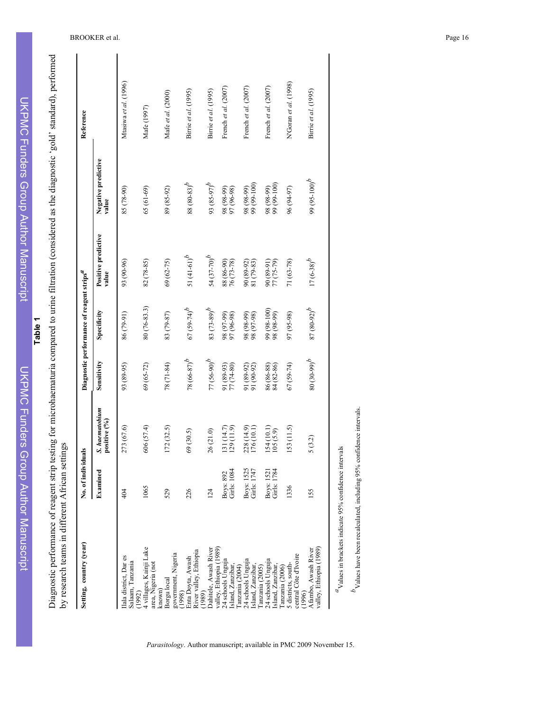| I             |
|---------------|
| ∼<br>۰        |
|               |
| ł             |
|               |
|               |
| ۰             |
|               |
|               |
|               |
| ï             |
|               |
|               |
|               |
|               |
| ľ             |
| ь<br>í        |
| F             |
| p             |
| ı             |
| t             |
| r             |
| ī             |
| ׇ֚֡<br>ï<br>h |
|               |
|               |
|               |
| I<br>J<br>ľ   |
| ۶             |
| þ             |
| r             |
| ١             |
| ı             |
|               |
| ï<br>b        |
|               |
|               |
| Б             |
| ×             |
| ï             |
| ▄<br>۰        |
| ٠             |
| ۰             |
| ï             |
| ×             |
|               |
|               |
| ۳             |
| ć             |
|               |
| ï             |
|               |
|               |
|               |
|               |
|               |
| ı             |
| ŀ             |
| ï             |
|               |
|               |
| ï<br>١        |
| =             |
|               |

무

**Table 1**

Diagnostic performance of reagent strip testing for microhaematuria compared to urine filtration (considered as the diagnostic 'gold' standard), performed<br>by research teams in different African settings Diagnostic performance of reagent strip testing for microhaematuria compared to urine filtration (considered as the diagnostic 'gold' standard), performed by research teams in different African settings

| Setting, country (year)                                           | No. of individuals        |                                |                           | Diagnostic performance of reagent strips <sup>a</sup> |                              |                                       | Reference             |
|-------------------------------------------------------------------|---------------------------|--------------------------------|---------------------------|-------------------------------------------------------|------------------------------|---------------------------------------|-----------------------|
|                                                                   | Examined                  | S. haematobium<br>positive (%) | Sensitivity               | Specificity                                           | Positive predictive<br>value | Negative predictive<br>value          |                       |
| lala district, Dar es<br>Salaam, Tanzania                         | 404                       | 273 (67.6)                     | 93 (89-95)                | 86 (79-91)                                            | 93 (90-96)                   | 85 (78-90)                            | Mtasiwa et al. (1996) |
| 4 villages, Kainji Lake<br>area, Nigeria (not<br>(1992)           | 1065                      | 606 (57.4)                     | 69 (65-72)                | 80 (76-83.3)                                          | 82 (78-85)                   | $(61-6)$                              | Mafe (1997)           |
| government, Nigeria<br>Borgu local<br>known)<br>(1998)            | 529                       | 172(32.5)                      | 78 (71-84)                | 83 (79-87)                                            | $69(62 - 75)$                | 89 (85-92)                            | Mafe et al. (2000)    |
| River valley, Ethiopia<br>Enta Doyta, Awash<br>(1989)             | 226                       | 69 (30.5)                      | $78(66-87)^b$             | $67 (59 - 74)^b$                                      | 51 $(41-61)^b$               | $88 (80 - 83)^b$                      | Birrie et al. (1995)  |
| Dahitele, Awash River                                             | 124                       | 26 (21.0)                      | $77 (56-90)^{b}$          | $83 (73 - 89)^b$                                      | 54 $(37-70)^b$               | $q^{(2.65-8.0)}$ 66                   | Birrie et al. (1995)  |
| valley, Ethiopia (1989)<br>24 schools Unguja<br>Island, Zanzibar, | Girls: 1084<br>Boys: 892  | 131 (14.7)<br>129 (11.9)       | 91 (89-93)<br>77 (74-80)  | 98 (97-99)<br>97 (96-98)                              | 88 (86-90)<br>76 (73-78)     | 98 (98-99)<br>97 (96-98)              | French et al. (2007)  |
| 24 schools Unguja<br>Island, Zanzibar,<br>Tanzania (2004)         | Girls: 1747<br>Boys: 1525 | 228 (14.9)<br>176 (10.1)       | 91 (89-92)<br>91 (90-92)  | 98 (98-99)<br>98 (97-98)                              | 90 (89-92)<br>81 (79-83)     | 98 (98-99)<br>99 (99-100)             | French et al. (2007)  |
| 24 schools Unguja<br>Island, Zanzibar,<br>Tanzania (2005)         | Girls: 1784<br>Boys: 1521 | $154(10.1)$<br>$105(5.9)$      | $86 (86-88)$ $84 (82-86)$ | 99 (98-100)<br>98 (98-99)                             | 90 (89-91)<br>(75-79) 77     | 98 (98-99)<br>99 (99-100)             | French et al. (2007)  |
| central Côte d'Ivoire<br>5 districts, south-<br>Tanzania (2006)   | 1336                      | 153 (11.5)                     | 67 (59-74)                | 97 (95-98)                                            | $71(63-78)$                  | 96 (94-97)                            | N'Goran et al. (1998) |
| valley, Ethiopia (1989)<br>Afambo, Awash River<br>(1996)          | 155                       | 5(3.2)                         | $q^{(66-08)}$ 08          | $87 (80 - 92)^b$                                      | $17(6-38)^{b}$               | 99 (95-100) <sup><math>b</math></sup> | Birrie et al. (1995)  |
| "Values in brackets indicate 95% confidence intervals             |                           |                                |                           |                                                       |                              |                                       |                       |

*Parasitology*. Author manuscript; available in PMC 2009 November 15.

 $^b$ Values have been recalculated, including 95% confidence intervals.

 $b$ Values have been recalculated, including 95% confidence intervals.

BROOKER et al. Page 16